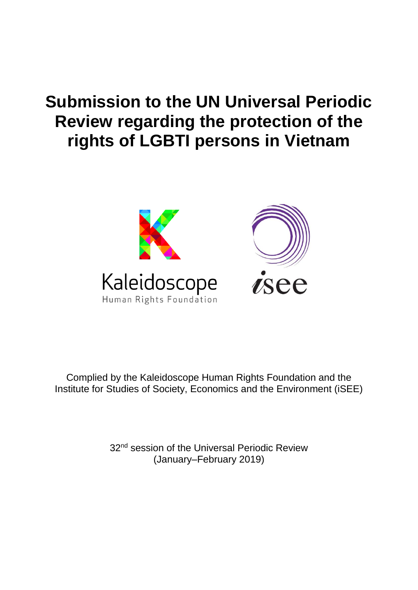# **Submission to the UN Universal Periodic Review regarding the protection of the rights of LGBTI persons in Vietnam**



Complied by the Kaleidoscope Human Rights Foundation and the Institute for Studies of Society, Economics and the Environment (iSEE)

> 32<sup>nd</sup> session of the Universal Periodic Review (January–February 2019)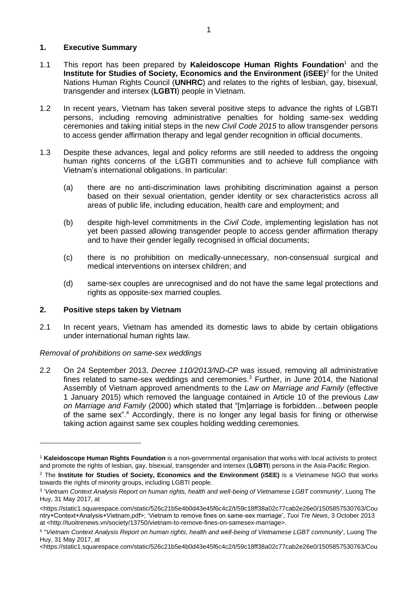# **1. Executive Summary**

- 1.1 This report has been prepared by **Kaleidoscope Human Rights Foundation**<sup>1</sup> and the **Institute for Studies of Society, Economics and the Environment (iSEE)<sup>2</sup> for the United** Nations Human Rights Council (**UNHRC**) and relates to the rights of lesbian, gay, bisexual, transgender and intersex (**LGBTI**) people in Vietnam.
- 1.2 In recent years, Vietnam has taken several positive steps to advance the rights of LGBTI persons, including removing administrative penalties for holding same-sex wedding ceremonies and taking initial steps in the new *Civil Code 2015* to allow transgender persons to access gender affirmation therapy and legal gender recognition in official documents.
- 1.3 Despite these advances, legal and policy reforms are still needed to address the ongoing human rights concerns of the LGBTI communities and to achieve full compliance with Vietnam's international obligations. In particular:
	- (a) there are no anti-discrimination laws prohibiting discrimination against a person based on their sexual orientation, gender identity or sex characteristics across all areas of public life, including education, health care and employment; and
	- (b) despite high-level commitments in the *Civil Code*, implementing legislation has not yet been passed allowing transgender people to access gender affirmation therapy and to have their gender legally recognised in official documents;
	- (c) there is no prohibition on medically-unnecessary, non-consensual surgical and medical interventions on intersex children; and
	- (d) same-sex couples are unrecognised and do not have the same legal protections and rights as opposite-sex married couples.

#### **2. Positive steps taken by Vietnam**

-

2.1 In recent years, Vietnam has amended its domestic laws to abide by certain obligations under international human rights law.

#### *Removal of prohibitions on same-sex weddings*

2.2 On 24 September 2013, *Decree 110/2013/ND-CP* was issued, removing all administrative fines related to same-sex weddings and ceremonies.<sup>3</sup> Further, in June 2014, the National Assembly of Vietnam approved amendments to the *Law on Marriage and Family* (effective 1 January 2015) which removed the language contained in Article 10 of the previous *Law on Marriage and Family* (2000) which stated that "[m]arriage is forbidden…between people of the same sex".<sup>4</sup> Accordingly, there is no longer any legal basis for fining or otherwise taking action against same sex couples holding wedding ceremonies.

<sup>1</sup> **Kaleidoscope Human Rights Foundation** is a non-governmental organisation that works with local activists to protect and promote the rights of lesbian, gay, bisexual, transgender and intersex (**LGBTI**) persons in the Asia-Pacific Region.

<sup>2</sup> The **Institute for Studies of Society, Economics and the Environment (iSEE)** is a Vietnamese NGO that works towards the rights of minority groups, including LGBTI people.

<sup>3</sup> '*Vietnam Context Analysis Report on human rights, health and well-being of Vietnamese LGBT community*', Luong The Huy, 31 May 2017, at

<sup>&</sup>lt;https://static1.squarespace.com/static/526c21b5e4b0d43e45f6c4c2/t/59c18ff38a02c77cab2e26e0/1505857530763/Cou ntry+Context+Analysis+Vietnam.pdf>; 'Vietnam to remove fines on same-sex marriage', *Tuoi Tre News*, 3 October 2013 at <http://tuoitrenews.vn/society/13750/vietnam-to-remove-fines-on-samesex-marriage>.

<sup>4</sup> ''*Vietnam Context Analysis Report on human rights, health and well-being of Vietnamese LGBT community*', Luong The Huy, 31 May 2017, at

<sup>&</sup>lt;https://static1.squarespace.com/static/526c21b5e4b0d43e45f6c4c2/t/59c18ff38a02c77cab2e26e0/1505857530763/Cou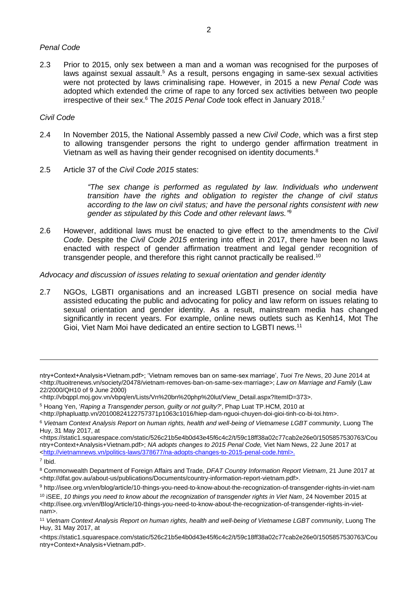#### *Penal Code*

2.3 Prior to 2015, only sex between a man and a woman was recognised for the purposes of laws against sexual assault.<sup>5</sup> As a result, persons engaging in same-sex sexual activities were not protected by laws criminalising rape. However, in 2015 a new *Penal Code* was adopted which extended the crime of rape to any forced sex activities between two people irrespective of their sex.<sup>6</sup> The *2015 Penal Code* took effect in January 2018.<sup>7</sup>

#### *Civil Code*

- 2.4 In November 2015, the National Assembly passed a new *Civil Code*, which was a first step to allowing transgender persons the right to undergo gender affirmation treatment in Vietnam as well as having their gender recognised on identity documents.<sup>8</sup>
- 2.5 Article 37 of the *Civil Code 2015* states:

*"The sex change is performed as regulated by law. Individuals who underwent transition have the rights and obligation to register the change of civil status according to the law on civil status; and have the personal rights consistent with new gender as stipulated by this Code and other relevant laws."* 9

2.6 However, additional laws must be enacted to give effect to the amendments to the *Civil Code*. Despite the *Civil Code 2015* entering into effect in 2017, there have been no laws enacted with respect of gender affirmation treatment and legal gender recognition of transgender people, and therefore this right cannot practically be realised.<sup>10</sup>

*Advocacy and discussion of issues relating to sexual orientation and gender identity*

2.7 NGOs, LGBTI organisations and an increased LGBTI presence on social media have assisted educating the public and advocating for policy and law reform on issues relating to sexual orientation and gender identity. As a result, mainstream media has changed significantly in recent years. For example, online news outlets such as Kenh14, Mot The Gioi, Viet Nam Moi have dedicated an entire section to LGBTI news.<sup>11</sup>

<https://static1.squarespace.com/static/526c21b5e4b0d43e45f6c4c2/t/59c18ff38a02c77cab2e26e0/1505857530763/Cou ntry+Context+Analysis+Vietnam.pdf>; *NA adopts changes to 2015 Penal Code,* Viet Nam News, 22 June 2017 at [<http://vietnamnews.vn/politics-laws/378677/na-adopts-changes-to-2015-penal-code.html>](http://vietnamnews.vn/politics-laws/378677/na-adopts-changes-to-2015-penal-code.html).

-

ntry+Context+Analysis+Vietnam.pdf>; 'Vietnam removes ban on same-sex marriage', *Tuoi Tre News*, 20 June 2014 at <http://tuoitrenews.vn/society/20478/vietnam-removes-ban-on-same-sex-marriage>; *Law on Marriage and Family* (Law 22/2000/QH10 of 9 June 2000)

<sup>&</sup>lt;http://vbqppl.moj.gov.vn/vbpq/en/Lists/Vn%20bn%20php%20lut/View\_Detail.aspx?ItemID=373>.

<sup>5</sup> Hoang Yen, '*Raping a Transgender person, guilty or not guilty?*', Phap Luat TP.HCM, 2010 at

<sup>&</sup>lt;http://phapluattp.vn/20100824122757371p1063c1016/hiep-dam-nguoi-chuyen-doi-gioi-tinh-co-bi-toi.htm>.

<sup>6</sup> *Vietnam Context Analysis Report on human rights, health and well-being of Vietnamese LGBT community*, Luong The Huy, 31 May 2017, at

<sup>7</sup> Ibid.

<sup>8</sup> Commonwealth Department of Foreign Affairs and Trade, *DFAT Country Information Report Vietnam*, 21 June 2017 at <http://dfat.gov.au/about-us/publications/Documents/country-information-report-vietnam.pdf>.

<sup>9</sup> http://isee.org.vn/en/blog/article/10-things-you-need-to-know-about-the-recognization-of-transgender-rights-in-viet-nam

<sup>10</sup> iSEE, *10 things you need to know about the recognization of transgender rights in Viet Nam*, 24 November 2015 at <http://isee.org.vn/en/Blog/Article/10-things-you-need-to-know-about-the-recognization-of-transgender-rights-in-vietnam>.

<sup>11</sup> *Vietnam Context Analysis Report on human rights, health and well-being of Vietnamese LGBT community*, Luong The Huy, 31 May 2017, at

<sup>&</sup>lt;https://static1.squarespace.com/static/526c21b5e4b0d43e45f6c4c2/t/59c18ff38a02c77cab2e26e0/1505857530763/Cou ntry+Context+Analysis+Vietnam.pdf>.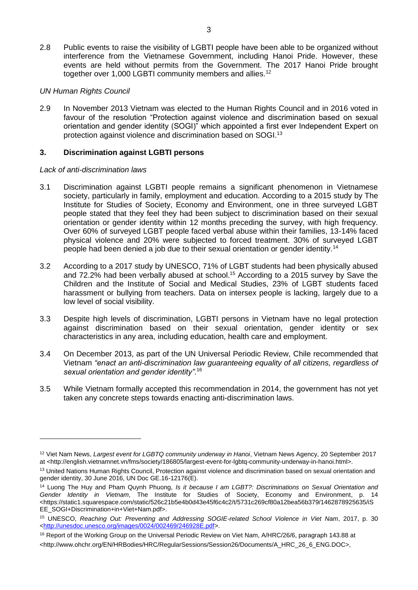2.8 Public events to raise the visibility of LGBTI people have been able to be organized without interference from the Vietnamese Government, including Hanoi Pride. However, these events are held without permits from the Government. The 2017 Hanoi Pride brought together over 1,000 LGBTI community members and allies.<sup>12</sup>

## *UN Human Rights Council*

2.9 In November 2013 Vietnam was elected to the Human Rights Council and in 2016 voted in favour of the resolution "Protection against violence and discrimination based on sexual orientation and gender identity (SOGI)" which appointed a first ever Independent Expert on protection against violence and discrimination based on SOGI.<sup>13</sup>

## **3. Discrimination against LGBTI persons**

#### *Lack of anti-discrimination laws*

-

- 3.1 Discrimination against LGBTI people remains a significant phenomenon in Vietnamese society, particularly in family, employment and education. According to a 2015 study by The Institute for Studies of Society, Economy and Environment, one in three surveyed LGBT people stated that they feel they had been subject to discrimination based on their sexual orientation or gender identity within 12 months preceding the survey, with high frequency. Over 60% of surveyed LGBT people faced verbal abuse within their families, 13-14% faced physical violence and 20% were subjected to forced treatment. 30% of surveyed LGBT people had been denied a job due to their sexual orientation or gender identity.<sup>14</sup>
- 3.2 According to a 2017 study by UNESCO, 71% of LGBT students had been physically abused and 72.2% had been verbally abused at school. <sup>15</sup> According to a 2015 survey by Save the Children and the Institute of Social and Medical Studies, 23% of LGBT students faced harassment or bullying from teachers. Data on intersex people is lacking, largely due to a low level of social visibility.
- 3.3 Despite high levels of discrimination, LGBTI persons in Vietnam have no legal protection against discrimination based on their sexual orientation, gender identity or sex characteristics in any area, including education, health care and employment.
- 3.4 On December 2013, as part of the UN Universal Periodic Review, Chile recommended that Vietnam *"enact an anti-discrimination law guaranteeing equality of all citizens, regardless of sexual orientation and gender identity"*. 16
- 3.5 While Vietnam formally accepted this recommendation in 2014, the government has not yet taken any concrete steps towards enacting anti-discrimination laws.

<sup>12</sup> Viet Nam News, *Largest event for LGBTQ community underway in Hanoi*, Vietnam News Agency, 20 September 2017 at <http://english.vietnamnet.vn/fms/society/186805/largest-event-for-lgbtq-community-underway-in-hanoi.html>.

<sup>13</sup> United Nations Human Rights Council, Protection against violence and discrimination based on sexual orientation and gender identity, 30 June 2016, UN Doc GE.16-12176(E).

<sup>14</sup> Luong The Huy and Pham Quynh Phuong, *Is it because I am LGBT?: Discriminations on Sexual Orientation and Gender Identity in Vietnam*, The Institute for Studies of Society, Economy and Environment, p. 14 <https://static1.squarespace.com/static/526c21b5e4b0d43e45f6c4c2/t/5731c269cf80a12bea56b379/1462878925635/iS EE\_SOGI+Discrimination+in+Viet+Nam.pdf>.

<sup>15</sup> UNESCO, *Reaching Out: Preventing and Addressing SOGIE-related School Violence in Viet Nam*, 2017, p. 30 [<http://unesdoc.unesco.org/images/0024/002469/246928E.pdf>](http://unesdoc.unesco.org/images/0024/002469/246928E.pdf).

<sup>16</sup> Report of the Working Group on the Universal Periodic Review on Viet Nam, A/HRC/26/6, paragraph 143.88 at <http://www.ohchr.org/EN/HRBodies/HRC/RegularSessions/Session26/Documents/A\_HRC\_26\_6\_ENG.DOC>,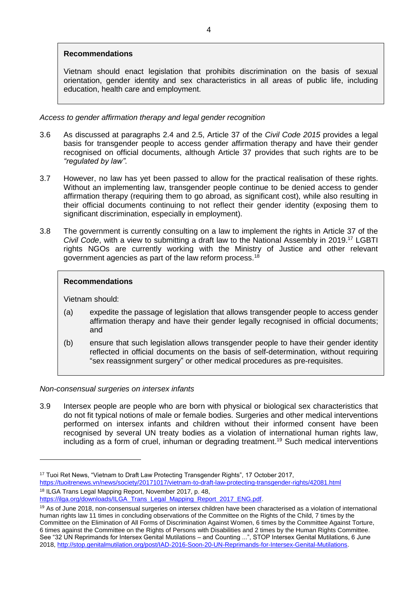# **Recommendations**

Vietnam should enact legislation that prohibits discrimination on the basis of sexual orientation, gender identity and sex characteristics in all areas of public life, including education, health care and employment.

## *Access to gender affirmation therapy and legal gender recognition*

- 3.6 As discussed at paragraphs 2.4 and 2.5, Article 37 of the *Civil Code 2015* provides a legal basis for transgender people to access gender affirmation therapy and have their gender recognised on official documents, although Article 37 provides that such rights are to be *"regulated by law"*.
- 3.7 However, no law has yet been passed to allow for the practical realisation of these rights. Without an implementing law, transgender people continue to be denied access to gender affirmation therapy (requiring them to go abroad, as significant cost), while also resulting in their official documents continuing to not reflect their gender identity (exposing them to significant discrimination, especially in employment).
- 3.8 The government is currently consulting on a law to implement the rights in Article 37 of the *Civil Code*, with a view to submitting a draft law to the National Assembly in 2019.<sup>17</sup> LGBTI rights NGOs are currently working with the Ministry of Justice and other relevant government agencies as part of the law reform process.<sup>18</sup>

## **Recommendations**

Vietnam should:

-

- (a) expedite the passage of legislation that allows transgender people to access gender affirmation therapy and have their gender legally recognised in official documents; and
- (b) ensure that such legislation allows transgender people to have their gender identity reflected in official documents on the basis of self-determination, without requiring "sex reassignment surgery" or other medical procedures as pre-requisites.

#### *Non-consensual surgeries on intersex infants*

3.9 Intersex people are people who are born with physical or biological sex characteristics that do not fit typical notions of male or female bodies. Surgeries and other medical interventions performed on intersex infants and children without their informed consent have been recognised by several UN treaty bodies as a violation of international human rights law, including as a form of cruel, inhuman or degrading treatment. <sup>19</sup> Such medical interventions

<sup>&</sup>lt;sup>17</sup> Tuoi Ret News, "Vietnam to Draft Law Protecting Transgender Rights", 17 October 2017, <https://tuoitrenews.vn/news/society/20171017/vietnam-to-draft-law-protecting-transgender-rights/42081.html> <sup>18</sup> ILGA Trans Legal Mapping Report, November 2017, p. 48,

[https://ilga.org/downloads/ILGA\\_Trans\\_Legal\\_Mapping\\_Report\\_2017\\_ENG.pdf.](https://ilga.org/downloads/ILGA_Trans_Legal_Mapping_Report_2017_ENG.pdf)

<sup>19</sup> As of June 2018, non-consensual surgeries on intersex children have been characterised as a violation of international human rights law 11 times in concluding observations of the Committee on the Rights of the Child, 7 times by the Committee on the Elimination of All Forms of Discrimination Against Women, 6 times by the Committee Against Torture, 6 times against the Committee on the Rights of Persons with Disabilities and 2 times by the Human Rights Committee. See "32 UN Reprimands for Intersex Genital Mutilations – and Counting ...", STOP Intersex Genital Mutilations, 6 June 2018[, http://stop.genitalmutilation.org/post/IAD-2016-Soon-20-UN-Reprimands-for-Intersex-Genital-Mutilations.](http://stop.genitalmutilation.org/post/IAD-2016-Soon-20-UN-Reprimands-for-Intersex-Genital-Mutilations)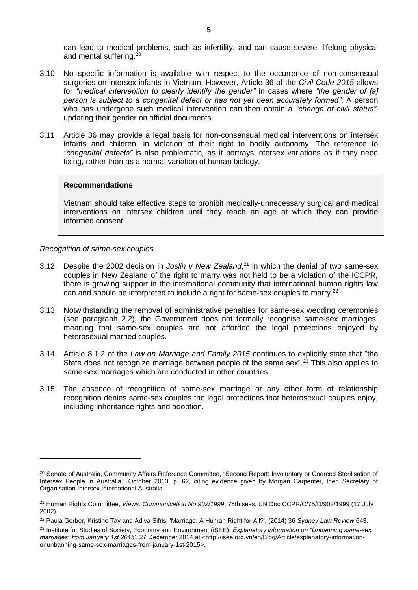can lead to medical problems, such as infertility, and can cause severe, lifelong physical and mental suffering. 20

- 3.10 No specific information is available with respect to the occurrence of non-consensual surgeries on intersex infants in Vietnam. However, Article 36 of the *Civil Code 2015* allows for *"medical intervention to clearly identify the gender"* in cases where *"the gender of [a] person is subject to a congenital defect or has not yet been accurately formed"*. A person who has undergone such medical intervention can then obtain a *"change of civil status"*, updating their gender on official documents.
- 3.11 Article 36 may provide a legal basis for non-consensual medical interventions on intersex infants and children, in violation of their right to bodily autonomy. The reference to *"congenital defects"* is also problematic, as it portrays intersex variations as if they need fixing, rather than as a normal variation of human biology.

#### **Recommendations**

Vietnam should take effective steps to prohibit medically-unnecessary surgical and medical interventions on intersex children until they reach an age at which they can provide informed consent.

#### *Recognition of same-sex couples*

-

- 3.12 Despite the 2002 decision in *Joslin v New Zealand*,<sup>21</sup> in which the denial of two same-sex couples in New Zealand of the right to marry was not held to be a violation of the ICCPR, there is growing support in the international community that international human rights law can and should be interpreted to include a right for same-sex couples to marry.<sup>22</sup>
- 3.13 Notwithstanding the removal of administrative penalties for same-sex wedding ceremonies (see paragraph 2.2), the Government does not formally recognise same-sex marriages, meaning that same-sex couples are not afforded the legal protections enjoyed by heterosexual married couples.
- 3.14 Article 8.1.2 of the *Law on Marriage and Family 2015* continues to explicitly state that "the State does not recognize marriage between people of the same sex".<sup>23</sup> This also applies to same-sex marriages which are conducted in other countries.
- 3.15 The absence of recognition of same-sex marriage or any other form of relationship recognition denies same-sex couples the legal protections that heterosexual couples enjoy, including inheritance rights and adoption.

<sup>&</sup>lt;sup>20</sup> Senate of Australia, Community Affairs Reference Committee, "Second Report: Involuntary or Coerced Sterilisation of Intersex People in Australia", October 2013, p. 62, citing evidence given by Morgan Carpenter, then Secretary of Organisation Intersex International Australia.

<sup>21</sup> Human Rights Committee, *Views: Communication No 902/1999*, 75th sess, UN Doc CCPR/C/75/D/902/1999 (17 July 2002).

<sup>22</sup> Paula Gerber, Kristine Tay and Adiva Sifris, 'Marriage: A Human Right for All?', (2014) 36 *Sydney Law Review* 643.

<sup>23</sup> Institute for Studies of Society, Economy and Environment (iSEE), *Explanatory information on "Unbanning same-sex marriages" from January 1st 2015*', 27 December 2014 at <http://isee.org.vn/en/Blog/Article/explanatory-informationonunbanning-same-sex-marriages-from-january-1st-2015>.